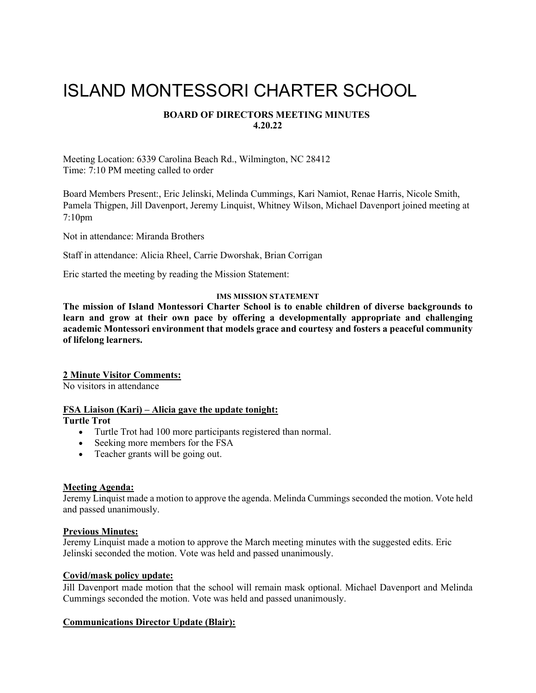# ISLAND MONTESSORI CHARTER SCHOOL

# **BOARD OF DIRECTORS MEETING MINUTES 4.20.22**

Meeting Location: 6339 Carolina Beach Rd., Wilmington, NC 28412 Time: 7:10 PM meeting called to order

Board Members Present:, Eric Jelinski, Melinda Cummings, Kari Namiot, Renae Harris, Nicole Smith, Pamela Thigpen, Jill Davenport, Jeremy Linquist, Whitney Wilson, Michael Davenport joined meeting at 7:10pm

Not in attendance: Miranda Brothers

Staff in attendance: Alicia Rheel, Carrie Dworshak, Brian Corrigan

Eric started the meeting by reading the Mission Statement:

# **IMS MISSION STATEMENT**

**The mission of Island Montessori Charter School is to enable children of diverse backgrounds to learn and grow at their own pace by offering a developmentally appropriate and challenging academic Montessori environment that models grace and courtesy and fosters a peaceful community of lifelong learners.**

## **2 Minute Visitor Comments:**

No visitors in attendance

## **FSA Liaison (Kari) – Alicia gave the update tonight:**

**Turtle Trot**

- Turtle Trot had 100 more participants registered than normal.
- Seeking more members for the FSA
- Teacher grants will be going out.

# **Meeting Agenda:**

Jeremy Linquist made a motion to approve the agenda. Melinda Cummings seconded the motion. Vote held and passed unanimously.

# **Previous Minutes:**

Jeremy Linquist made a motion to approve the March meeting minutes with the suggested edits. Eric Jelinski seconded the motion. Vote was held and passed unanimously.

## **Covid/mask policy update:**

Jill Davenport made motion that the school will remain mask optional. Michael Davenport and Melinda Cummings seconded the motion. Vote was held and passed unanimously.

# **Communications Director Update (Blair):**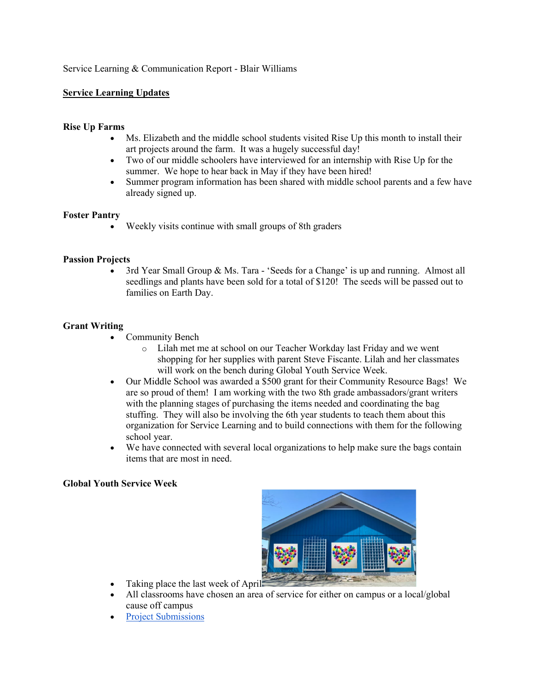# Service Learning & Communication Report - Blair Williams

# **Service Learning Updates**

# **Rise Up Farms**

- Ms. Elizabeth and the middle school students visited Rise Up this month to install their art projects around the farm. It was a hugely successful day!
- Two of our middle schoolers have interviewed for an internship with Rise Up for the summer. We hope to hear back in May if they have been hired!
- Summer program information has been shared with middle school parents and a few have already signed up.

# **Foster Pantry**

• Weekly visits continue with small groups of 8th graders

# **Passion Projects**

• 3rd Year Small Group & Ms. Tara - 'Seeds for a Change' is up and running. Almost all seedlings and plants have been sold for a total of \$120! The seeds will be passed out to families on Earth Day.

# **Grant Writing**

- Community Bench
	- o Lilah met me at school on our Teacher Workday last Friday and we went shopping for her supplies with parent Steve Fiscante. Lilah and her classmates will work on the bench during Global Youth Service Week.
- Our Middle School was awarded a \$500 grant for their Community Resource Bags! We are so proud of them! I am working with the two 8th grade ambassadors/grant writers with the planning stages of purchasing the items needed and coordinating the bag stuffing. They will also be involving the 6th year students to teach them about this organization for Service Learning and to build connections with them for the following school year.
- We have connected with several local organizations to help make sure the bags contain items that are most in need.

# **Global Youth Service Week**



- Taking place the last week of April-
- All classrooms have chosen an area of service for either on campus or a local/global cause off campus
- [Project Submissions](https://docs.google.com/document/d/1gmBndW5I_IxTO-4hNBoEK4pfHaEKwgt6uSzEFgZGfG4/edit)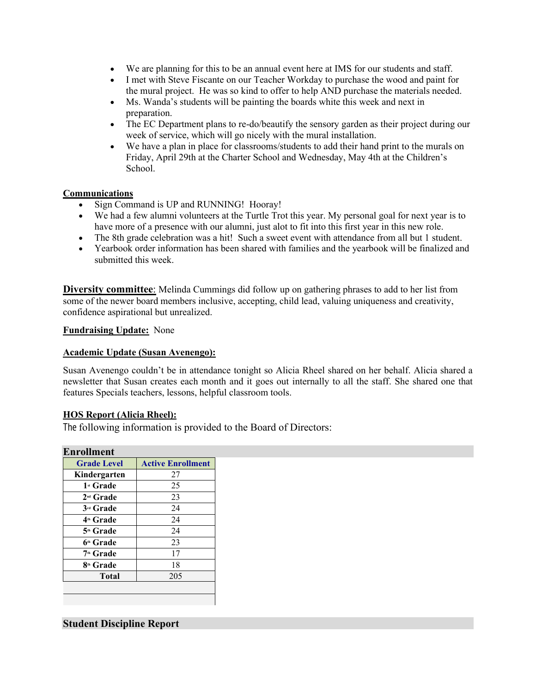- We are planning for this to be an annual event here at IMS for our students and staff.
- I met with Steve Fiscante on our Teacher Workday to purchase the wood and paint for the mural project. He was so kind to offer to help AND purchase the materials needed.
- Ms. Wanda's students will be painting the boards white this week and next in preparation.
- The EC Department plans to re-do/beautify the sensory garden as their project during our week of service, which will go nicely with the mural installation.
- We have a plan in place for classrooms/students to add their hand print to the murals on Friday, April 29th at the Charter School and Wednesday, May 4th at the Children's School.

# **Communications**

- Sign Command is UP and RUNNING! Hooray!
- We had a few alumni volunteers at the Turtle Trot this year. My personal goal for next year is to have more of a presence with our alumni, just alot to fit into this first year in this new role.
- The 8th grade celebration was a hit! Such a sweet event with attendance from all but 1 student.
- Yearbook order information has been shared with families and the yearbook will be finalized and submitted this week.

**Diversity committee**: Melinda Cummings did follow up on gathering phrases to add to her list from some of the newer board members inclusive, accepting, child lead, valuing uniqueness and creativity, confidence aspirational but unrealized.

**Fundraising Update:** None

# **Academic Update (Susan Avenengo):**

Susan Avenengo couldn't be in attendance tonight so Alicia Rheel shared on her behalf. Alicia shared a newsletter that Susan creates each month and it goes out internally to all the staff. She shared one that features Specials teachers, lessons, helpful classroom tools.

# **HOS Report (Alicia Rheel):**

The following information is provided to the Board of Directors:

| Kindergarten<br>1 <sup>st</sup> Grade<br>2 <sup>nd</sup> Grade | 27<br>25 |  |  |
|----------------------------------------------------------------|----------|--|--|
|                                                                |          |  |  |
|                                                                |          |  |  |
|                                                                | 23       |  |  |
| 3rd Grade                                                      | 24       |  |  |
| 4th Grade                                                      | 24       |  |  |
| 5th Grade                                                      | 24       |  |  |
| 6th Grade                                                      | 23       |  |  |
| 7 <sup>th</sup> Grade                                          | 17       |  |  |
| 8th Grade                                                      | 18       |  |  |
| <b>Total</b>                                                   | 205      |  |  |

# **Student Discipline Report**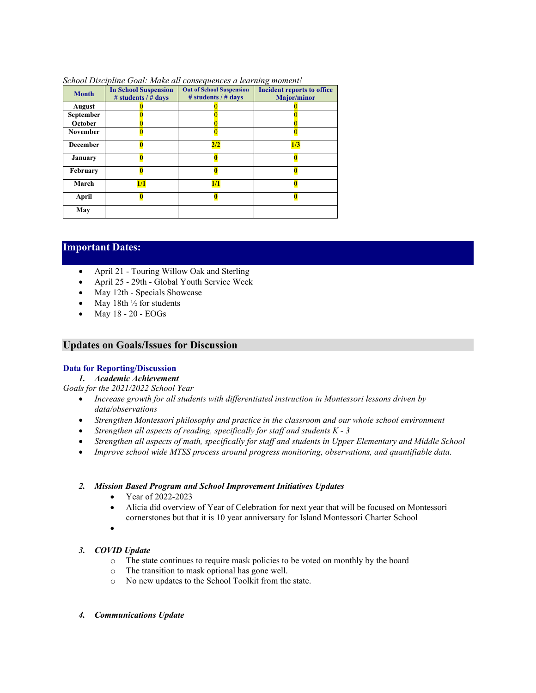| <b>Month</b>    | <b>In School Suspension</b><br># students $/$ # days | <b>Out of School Suspension</b><br># students / # days | <b>Incident reports to office</b><br><b>Major/minor</b> |
|-----------------|------------------------------------------------------|--------------------------------------------------------|---------------------------------------------------------|
| August          |                                                      |                                                        |                                                         |
| September       |                                                      |                                                        |                                                         |
| October         |                                                      |                                                        |                                                         |
| <b>November</b> |                                                      |                                                        |                                                         |
| <b>December</b> |                                                      | 2/2                                                    | 1/3                                                     |
| <b>January</b>  |                                                      |                                                        |                                                         |
| February        |                                                      |                                                        |                                                         |
| March           | 1/1                                                  | 1/1                                                    |                                                         |
| April           |                                                      |                                                        |                                                         |
| May             |                                                      |                                                        |                                                         |

#### *School Discipline Goal: Make all consequences a learning moment!*

# **Important Dates:**

- April 21 Touring Willow Oak and Sterling
- April 25 29th Global Youth Service Week
- May 12th Specials Showcase
- May 18th  $\frac{1}{2}$  for students
- May 18 20 EOGs

# **Updates on Goals/Issues for Discussion**

# **Data for Reporting/Discussion**

*1. Academic Achievement*

*Goals for the 2021/2022 School Year*

- *Increase growth for all students with differentiated instruction in Montessori lessons driven by data/observations*
- *Strengthen Montessori philosophy and practice in the classroom and our whole school environment*
- *Strengthen all aspects of reading, specifically for staff and students K 3*
- *Strengthen all aspects of math, specifically for staff and students in Upper Elementary and Middle School*
- *Improve school wide MTSS process around progress monitoring, observations, and quantifiable data.*

#### *2. Mission Based Program and School Improvement Initiatives Updates*

- Year of 2022-2023
- Alicia did overview of Year of Celebration for next year that will be focused on Montessori cornerstones but that it is 10 year anniversary for Island Montessori Charter School
- •

## *3. COVID Update*

- o The state continues to require mask policies to be voted on monthly by the board
- o The transition to mask optional has gone well.
- o No new updates to the School Toolkit from the state.
- *4. Communications Update*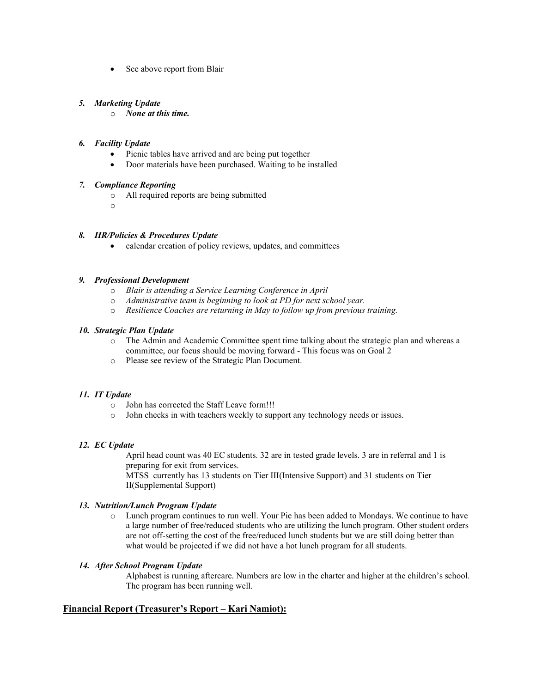• See above report from Blair

# *5. Marketing Update*

o *None at this time.* 

## *6. Facility Update*

- Picnic tables have arrived and are being put together
- Door materials have been purchased. Waiting to be installed

# *7. Compliance Reporting*

- o All required reports are being submitted
- o

## *8. HR/Policies & Procedures Update*

calendar creation of policy reviews, updates, and committees

## *9. Professional Development*

- o *Blair is attending a Service Learning Conference in April*
- o *Administrative team is beginning to look at PD for next school year.*
- o *Resilience Coaches are returning in May to follow up from previous training.*

## *10. Strategic Plan Update*

- o The Admin and Academic Committee spent time talking about the strategic plan and whereas a committee, our focus should be moving forward - This focus was on Goal 2
- o Please see review of the Strategic Plan Document.

# *11. IT Update*

- o John has corrected the Staff Leave form!!!
- o John checks in with teachers weekly to support any technology needs or issues.

## *12. EC Update*

April head count was 40 EC students. 32 are in tested grade levels. 3 are in referral and 1 is preparing for exit from services.

MTSS currently has 13 students on Tier III(Intensive Support) and 31 students on Tier II(Supplemental Support)

## *13. Nutrition/Lunch Program Update*

o Lunch program continues to run well. Your Pie has been added to Mondays. We continue to have a large number of free/reduced students who are utilizing the lunch program. Other student orders are not off-setting the cost of the free/reduced lunch students but we are still doing better than what would be projected if we did not have a hot lunch program for all students.

## *14. After School Program Update*

Alphabest is running aftercare. Numbers are low in the charter and higher at the children's school. The program has been running well.

# **Financial Report (Treasurer's Report – Kari Namiot):**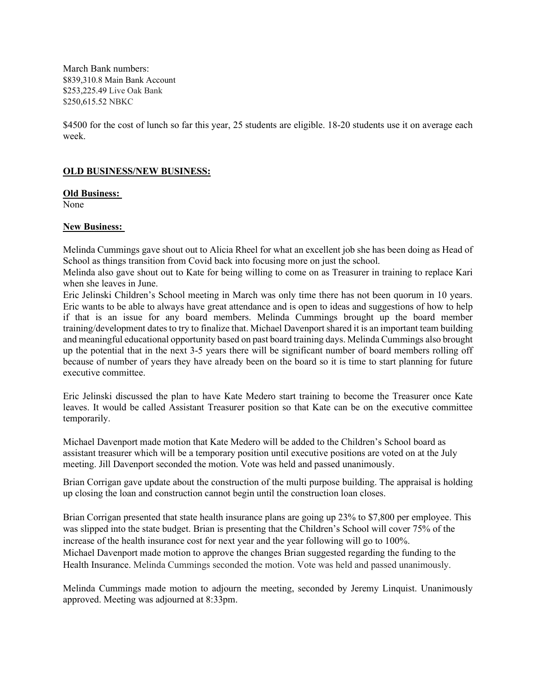March Bank numbers: \$839,310.8 Main Bank Account \$253,225.49 Live Oak Bank \$250,615.52 NBKC

\$4500 for the cost of lunch so far this year, 25 students are eligible. 18-20 students use it on average each week.

# **OLD BUSINESS/NEW BUSINESS:**

**Old Business:**

None

# **New Business:**

Melinda Cummings gave shout out to Alicia Rheel for what an excellent job she has been doing as Head of School as things transition from Covid back into focusing more on just the school.

Melinda also gave shout out to Kate for being willing to come on as Treasurer in training to replace Kari when she leaves in June.

Eric Jelinski Children's School meeting in March was only time there has not been quorum in 10 years. Eric wants to be able to always have great attendance and is open to ideas and suggestions of how to help if that is an issue for any board members. Melinda Cummings brought up the board member training/development dates to try to finalize that. Michael Davenport shared it is an important team building and meaningful educational opportunity based on past board training days. Melinda Cummings also brought up the potential that in the next 3-5 years there will be significant number of board members rolling off because of number of years they have already been on the board so it is time to start planning for future executive committee.

Eric Jelinski discussed the plan to have Kate Medero start training to become the Treasurer once Kate leaves. It would be called Assistant Treasurer position so that Kate can be on the executive committee temporarily.

Michael Davenport made motion that Kate Medero will be added to the Children's School board as assistant treasurer which will be a temporary position until executive positions are voted on at the July meeting. Jill Davenport seconded the motion. Vote was held and passed unanimously.

Brian Corrigan gave update about the construction of the multi purpose building. The appraisal is holding up closing the loan and construction cannot begin until the construction loan closes.

Brian Corrigan presented that state health insurance plans are going up 23% to \$7,800 per employee. This was slipped into the state budget. Brian is presenting that the Children's School will cover 75% of the increase of the health insurance cost for next year and the year following will go to 100%. Michael Davenport made motion to approve the changes Brian suggested regarding the funding to the Health Insurance. Melinda Cummings seconded the motion. Vote was held and passed unanimously.

Melinda Cummings made motion to adjourn the meeting, seconded by Jeremy Linquist. Unanimously approved. Meeting was adjourned at 8:33pm.